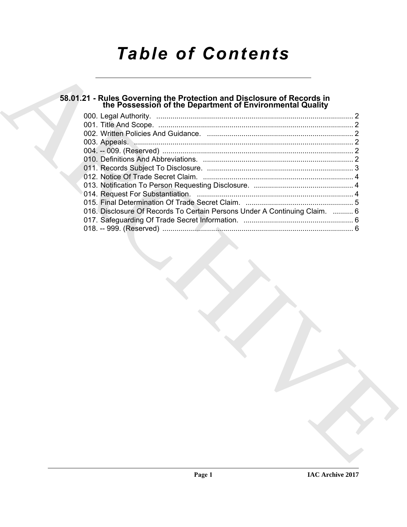# *Table of Contents*

# **58.01.21 - Rules Governing the Protection and Disclosure of Records in the Possession of the Department of Environmental Quality**

| 58.01.21 - Rules Governing the Protection and Disclosure of Records in<br>the Possession of the Department of Environmental Quality |  |
|-------------------------------------------------------------------------------------------------------------------------------------|--|
|                                                                                                                                     |  |
|                                                                                                                                     |  |
|                                                                                                                                     |  |
|                                                                                                                                     |  |
|                                                                                                                                     |  |
|                                                                                                                                     |  |
|                                                                                                                                     |  |
|                                                                                                                                     |  |
|                                                                                                                                     |  |
| 016. Disclosure Of Records To Certain Persons Under A Continuing Claim.  6                                                          |  |
|                                                                                                                                     |  |
|                                                                                                                                     |  |
|                                                                                                                                     |  |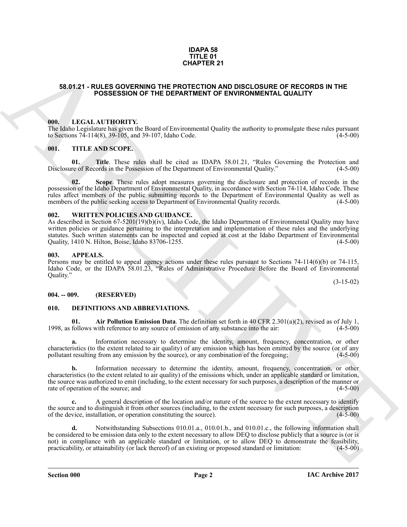#### **IDAPA 58 TITLE 01 CHAPTER 21**

#### <span id="page-1-0"></span>**58.01.21 - RULES GOVERNING THE PROTECTION AND DISCLOSURE OF RECORDS IN THE POSSESSION OF THE DEPARTMENT OF ENVIRONMENTAL QUALITY**

#### <span id="page-1-1"></span>**000. LEGAL AUTHORITY.**

The Idaho Legislature has given the Board of Environmental Quality the authority to promulgate these rules pursuant to Sections 74-114(8), 39-105, and 39-107, Idaho Code. (4-5-00) to Sections  $74-114(8)$ ,  $39-105$ , and  $39-107$ , Idaho Code.

#### <span id="page-1-2"></span>**001. TITLE AND SCOPE.**

**01.** Title. These rules shall be cited as IDAPA 58.01.21, "Rules Governing the Protection and re of Records in the Possession of the Department of Environmental Quality." (4-5-00) Disclosure of Records in the Possession of the Department of Environmental Quality."

**02. Scope**. These rules adopt measures governing the disclosure and protection of records in the possession of the Idaho Department of Environmental Quality, in accordance with Section 74-114, Idaho Code. These rules affect members of the public submitting records to the Department of Environmental Quality as well as members of the public seeking access to Department of Environmental Quality records. (4-5-00) members of the public seeking access to Department of Environmental Quality records.

#### <span id="page-1-3"></span>**002. WRITTEN POLICIES AND GUIDANCE.**

As described in Section 67-5201(19)(b)(iv), Idaho Code, the Idaho Department of Environmental Quality may have written policies or guidance pertaining to the interpretation and implementation of these rules and the underlying statutes. Such written statements can be inspected and copied at cost at the Idaho Department of Environmental Quality, 1410 N. Hilton, Boise, Idaho 83706-1255. (4-5-00)

#### <span id="page-1-4"></span>**003. APPEALS.**

Persons may be entitled to appeal agency actions under these rules pursuant to Sections 74-114(6)(b) or 74-115, Idaho Code, or the IDAPA 58.01.23, "Rules of Administrative Procedure Before the Board of Environmental Quality."

(3-15-02)

#### <span id="page-1-5"></span>**004. -- 009. (RESERVED)**

#### <span id="page-1-6"></span>**010. DEFINITIONS AND ABBREVIATIONS.**

<span id="page-1-7"></span>**Air Pollution Emission Data**. The definition set forth in 40 CFR 2.301(a)(2), revised as of July 1, with reference to any source of emission of any substance into the air: (4-5-00) 1998, as follows with reference to any source of emission of any substance into the air:

**a.** Information necessary to determine the identity, amount, frequency, concentration, or other characteristics (to the extent related to air quality) of any emission which has been emitted by the source (or of any pollutant resulting from any emission by the source), or any combination of the foregoing;  $(4-5-00)$ pollutant resulting from any emission by the source), or any combination of the foregoing;

**b.** Information necessary to determine the identity, amount, frequency, concentration, or other characteristics (to the extent related to air quality) of the emissions which, under an applicable standard or limitation, the source was authorized to emit (including, to the extent necessary for such purposes, a description of the manner or rate of operation of the source; and (4-5-00) rate of operation of the source; and

**c.** A general description of the location and/or nature of the source to the extent necessary to identify the source and to distinguish it from other sources (including, to the extent necessary for such purposes, a description of the device, installation, or operation constituting the source). (4-5-00) of the device, installation, or operation constituting the source).

**SEARCH 21**<br> **SEARCH 21 FOLLS GOVERNMO THE PROTECTION AND DISCUSSIVE OF RECORDS IN THE<br>
POSSESSION OF THE DEPARTMENT OF ENVIRONMENTAL QUALITY<br>
1981. IF CALL ATTENDENTS,<br>
1991. IF CALL ATTENDENTS, SURGE FROM DISCUSSION CON d.** Notwithstanding Subsections 010.01.a., 010.01.b., and 010.01.c., the following information shall be considered to be emission data only to the extent necessary to allow DEQ to disclose publicly that a source is (or is not) in compliance with an applicable standard or limitation, or to allow DEQ to demonstrate the feasibility, practicability, or attainability (or lack thereof) of an existing or proposed standard or limitation: (4-5-00) practicability, or attainability (or lack thereof) of an existing or proposed standard or limitation: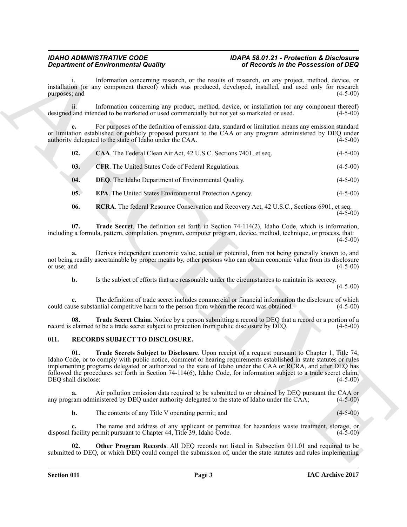## *Department of Environmental Quality of Records in the Possession of DEQ*

### <span id="page-2-4"></span><span id="page-2-3"></span><span id="page-2-2"></span><span id="page-2-1"></span>*IDAHO ADMINISTRATIVE CODE IDAPA 58.01.21 - Protection & Disclosure*

|                            | <b>Department of Environmental Quality</b>                                                                                                                                                                                                                                                                                                                  | of Records in the Possession of DEQ                                                                       |            |
|----------------------------|-------------------------------------------------------------------------------------------------------------------------------------------------------------------------------------------------------------------------------------------------------------------------------------------------------------------------------------------------------------|-----------------------------------------------------------------------------------------------------------|------------|
| 1.<br>purposes; and        | installation (or any component thereof) which was produced, developed, installed, and used only for research                                                                                                                                                                                                                                                | Information concerning research, or the results of research, on any project, method, device, or           | $(4-5-00)$ |
| $\overline{11}$ .          | designed and intended to be marketed or used commercially but not yet so marketed or used.                                                                                                                                                                                                                                                                  | Information concerning any product, method, device, or installation (or any component thereof)            | $(4-5-00)$ |
|                            | or limitation established or publicly proposed pursuant to the CAA or any program administered by DEQ under<br>authority delegated to the state of Idaho under the CAA.                                                                                                                                                                                     | For purposes of the definition of emission data, standard or limitation means any emission standard       | $(4-5-00)$ |
| 02.                        | CAA. The Federal Clean Air Act, 42 U.S.C. Sections 7401, et seq.                                                                                                                                                                                                                                                                                            |                                                                                                           | $(4-5-00)$ |
| 03.                        | <b>CFR.</b> The United States Code of Federal Regulations.                                                                                                                                                                                                                                                                                                  |                                                                                                           | $(4-5-00)$ |
| 04.                        | <b>DEQ</b> . The Idaho Department of Environmental Quality.                                                                                                                                                                                                                                                                                                 |                                                                                                           | $(4-5-00)$ |
| 05.                        | EPA. The United States Environmental Protection Agency.                                                                                                                                                                                                                                                                                                     |                                                                                                           | $(4-5-00)$ |
| 06.                        |                                                                                                                                                                                                                                                                                                                                                             | <b>RCRA</b> . The federal Resource Conservation and Recovery Act, 42 U.S.C., Sections 6901, et seq.       | $(4-5-00)$ |
| 07.                        | including a formula, pattern, compilation, program, computer program, device, method, technique, or process, that:                                                                                                                                                                                                                                          | <b>Trade Secret</b> . The definition set forth in Section $74-114(2)$ , Idaho Code, which is information, | $(4-5-00)$ |
| a.<br>or use; and          | not being readily ascertainable by proper means by, other persons who can obtain economic value from its disclosure                                                                                                                                                                                                                                         | Derives independent economic value, actual or potential, from not being generally known to, and           | $(4-5-00)$ |
| b.                         |                                                                                                                                                                                                                                                                                                                                                             | Is the subject of efforts that are reasonable under the circumstances to maintain its secrecy.            | $(4-5-00)$ |
| c.                         | could cause substantial competitive harm to the person from whom the record was obtained.                                                                                                                                                                                                                                                                   | The definition of trade secret includes commercial or financial information the disclosure of which       | $(4-5-00)$ |
| 08.                        | record is claimed to be a trade secret subject to protection from public disclosure by DEQ.                                                                                                                                                                                                                                                                 | Trade Secret Claim. Notice by a person submitting a record to DEQ that a record or a portion of a         | $(4-5-00)$ |
| 011.                       | RECORDS SUBJECT TO DISCLOSURE.                                                                                                                                                                                                                                                                                                                              |                                                                                                           |            |
| 01.<br>DEQ shall disclose: | Idaho Code, or to comply with public notice, comment or hearing requirements established in state statutes or rules<br>implementing programs delegated or authorized to the state of Idaho under the CAA or RCRA, and after DEQ has<br>followed the procedures set forth in Section 74-114(6), Idaho Code, for information subject to a trade secret claim, | Trade Secrets Subject to Disclosure. Upon receipt of a request pursuant to Chapter 1, Title 74,           | $(4-5-00)$ |
| a.                         | any program administered by DEQ under authority delegated to the state of Idaho under the CAA;                                                                                                                                                                                                                                                              | Air pollution emission data required to be submitted to or obtained by DEQ pursuant the CAA or            | $(4-5-00)$ |
| b.                         | The contents of any Title V operating permit; and                                                                                                                                                                                                                                                                                                           |                                                                                                           | $(4-5-00)$ |
| c.                         | disposal facility permit pursuant to Chapter 44, Title 39, Idaho Code.                                                                                                                                                                                                                                                                                      | The name and address of any applicant or permittee for hazardous waste treatment, storage, or             | $(4-5-00)$ |
| 02.                        |                                                                                                                                                                                                                                                                                                                                                             | Other Program Records. All DEQ records not listed in Subsection 011.01 and required to be                 |            |

#### <span id="page-2-10"></span><span id="page-2-9"></span><span id="page-2-8"></span><span id="page-2-7"></span><span id="page-2-6"></span><span id="page-2-5"></span><span id="page-2-0"></span>**011. RECORDS SUBJECT TO DISCLOSURE.**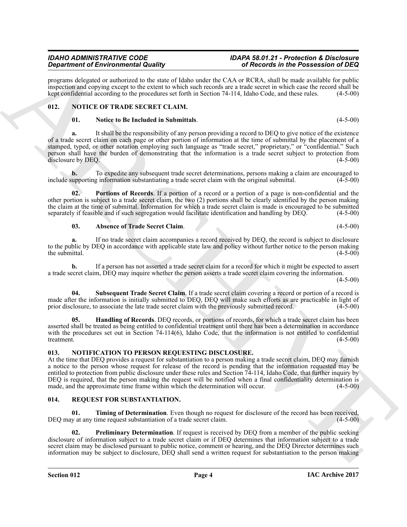*Department of Environmental Quality of Records in the Possession of DEQ*

<span id="page-3-0"></span>**012. NOTICE OF TRADE SECRET CLAIM.**

**b.** To expedite any subsequent trade secret determinations, persons making a claim are encouraged to upporting information substantiating a trade secret claim with the original submittal. (4-5-00) include supporting information substantiating a trade secret claim with the original submittal.

of a trade secret claim on each page or other portion of information at the time of submittal by the placement of a

**a.** It shall be the responsibility of any person providing a record to DEQ to give notice of the existence

programs delegated or authorized to the state of Idaho under the CAA or RCRA, shall be made available for public inspection and copying except to the extent to which such records are a trade secret in which case the record shall be kept confidential according to the procedures set forth in Section 74-114. Idaho Code, and these rules.

kept confidential according to the procedures set forth in Section 74-114, Idaho Code, and these rules.

**Portions of Records**. If a portion of a record or a portion of a page is non-confidential and the other portion is subject to a trade secret claim, the two (2) portions shall be clearly identified by the person making the claim at the time of submittal. Information for which a trade secret claim is made is encouraged to be submitted separately if feasible and if such segregation would facilitate identification and handling by DEQ. (4-5-00)

<span id="page-3-7"></span><span id="page-3-4"></span>**03. Absence of Trade Secret Claim**. (4-5-00)

If no trade secret claim accompanies a record received by DEQ, the record is subject to disclosure to the public by DEQ in accordance with applicable state law and policy without further notice to the person making the submittal. (4-5-00) the submittal.  $(4-5-00)$ 

**b.** If a person has not asserted a trade secret claim for a record for which it might be expected to assert a trade secret claim, DEQ may inquire whether the person asserts a trade secret claim covering the information.

<span id="page-3-8"></span>**Subsequent Trade Secret Claim**. If a trade secret claim covering a record or portion of a record is made after the information is initially submitted to DEQ, DEQ will make such efforts as are practicable in light of prior disclosure, to associate the late trade secret claim with the previously submitted record. (4-5-00) prior disclosure, to associate the late trade secret claim with the previously submitted record.

<span id="page-3-5"></span>Handling of Records. DEQ records, or portions of records, for which a trade secret claim has been asserted shall be treated as being entitled to confidential treatment until there has been a determination in accordance with the procedures set out in Section 74-114(6), Idaho Code, that the information is not entitled to confidential treatment.  $(4-5-00)$ treatment. (4-5-00)

#### <span id="page-3-9"></span><span id="page-3-1"></span>**013. NOTIFICATION TO PERSON REQUESTING DISCLOSURE.**

**Strainers of Encyclopedia and Surface Control in the Concept of Encyclopedia and Surface Control in the Poisson Control in the Concept of Encyclopedia and Surface Control in the Concept of Control in the Concept of Contr** At the time that DEQ provides a request for substantiation to a person making a trade secret claim, DEQ may furnish a notice to the person whose request for release of the record is pending that the information requested may be entitled to protection from public disclosure under these rules and Section 74-114, Idaho Code, that further inquiry by DEQ is required, that the person making the request will be notified when a final confidentiality determination is made, and the approximate time frame within which the determination will occur. (4-5-00) made, and the approximate time frame within which the determination will occur.

#### <span id="page-3-10"></span><span id="page-3-2"></span>**014. REQUEST FOR SUBSTANTIATION.**

<span id="page-3-12"></span>**01. Timing of Determination**. Even though no request for disclosure of the record has been received, DEQ may at any time request substantiation of a trade secret claim. (4-5-00)

<span id="page-3-11"></span>**02. Preliminary Determination**. If request is received by DEQ from a member of the public seeking disclosure of information subject to a trade secret claim or if DEQ determines that information subject to a trade secret claim may be disclosed pursuant to public notice, comment or hearing, and the DEQ Director determines such information may be subject to disclosure, DEQ shall send a written request for substantiation to the person making

<span id="page-3-6"></span><span id="page-3-3"></span>**01. Notice to Be Included in Submittals**. (4-5-00)

 $(4 - 5 - 00)$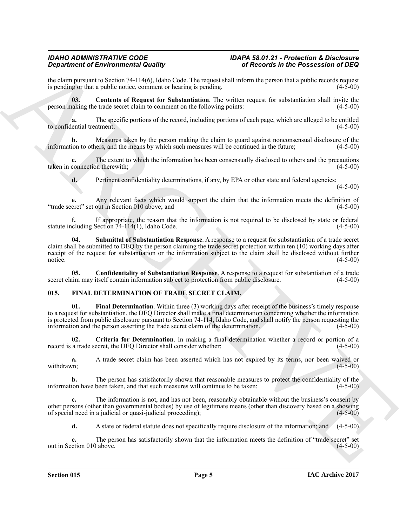the claim pursuant to Section 74-114(6), Idaho Code. The request shall inform the person that a public records request<br>is pending or that a public notice, comment or hearing is pending. is pending or that a public notice, comment or hearing is pending.

<span id="page-4-5"></span>**03. Contents of Request for Substantiation**. The written request for substantiation shall invite the person making the trade secret claim to comment on the following points: (4-5-00)

**a.** The specific portions of the record, including portions of each page, which are alleged to be entitled lential treatment; (4-5-00) to confidential treatment:

**b.** Measures taken by the person making the claim to guard against nonconsensual disclosure of the ion to others, and the means by which such measures will be continued in the future; (4-5-00) information to others, and the means by which such measures will be continued in the future;

**c.** The extent to which the information has been consensually disclosed to others and the precautions connection therewith; (4-5-00) taken in connection therewith;

**d.** Pertinent confidentiality determinations, if any, by EPA or other state and federal agencies;

 $(4-5-00)$ 

**e.** Any relevant facts which would support the claim that the information meets the definition of cret" set out in Section 010 above: and (4-5-00) "trade secret" set out in Section 010 above; and

**f.** If appropriate, the reason that the information is not required to be disclosed by state or federal including Section 74-114(1), Idaho Code. (4-5-00) statute including Section  $74-114(1)$ , Idaho Code.

<span id="page-4-6"></span>**04. Submittal of Substantiation Response**. A response to a request for substantiation of a trade secret claim shall be submitted to DEQ by the person claiming the trade secret protection within ten (10) working days after receipt of the request for substantiation or the information subject to the claim shall be disclosed without further notice. (4-5-00) notice.  $(4-5-00)$ 

<span id="page-4-4"></span>**05. Confidentiality of Substantiation Response**. A response to a request for substantiation of a trade im may itself contain information subject to protection from public disclosure. (4-5-00) secret claim may itself contain information subject to protection from public disclosure.

#### <span id="page-4-3"></span><span id="page-4-1"></span><span id="page-4-0"></span>**015. FINAL DETERMINATION OF TRADE SECRET CLAIM.**

**Strainer of Environmental Guality Constrainers** of Encyclopedia and the Poissession of Distribution of the Society of the Society of the Society of the Society of the Society of the Society of the Society of the Society **01. Final Determination**. Within three (3) working days after receipt of the business's timely response to a request for substantiation, the DEQ Director shall make a final determination concerning whether the information is protected from public disclosure pursuant to Section 74-114, Idaho Code, and shall notify the person requesting the information and the person asserting the trade secret claim of the determination. (4-5-00) information and the person asserting the trade secret claim of the determination.

<span id="page-4-2"></span>**02.** Criteria for Determination. In making a final determination whether a record or portion of a a trade secret, the DEO Director shall consider whether: (4-5-00) record is a trade secret, the DEQ Director shall consider whether:

**a.** A trade secret claim has been asserted which has not expired by its terms, nor been waived or withdrawn; (4-5-00) withdrawn; (4-5-00) (4-6-00)

**b.** The person has satisfactorily shown that reasonable measures to protect the confidentiality of the ion have been taken, and that such measures will continue to be taken: (4-5-00) information have been taken, and that such measures will continue to be taken;

**c.** The information is not, and has not been, reasonably obtainable without the business's consent by other persons (other than governmental bodies) by use of legitimate means (other than discovery based on a showing of special need in a judicial or quasi-judicial proceeding);

**d.** A state or federal statute does not specifically require disclosure of the information; and (4-5-00)

**e.** The person has satisfactorily shown that the information meets the definition of "trade secret" set ction 010 above.  $(4-5-00)$ out in Section 010 above.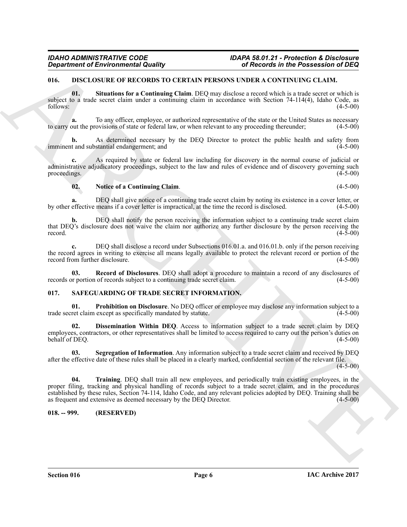#### <span id="page-5-3"></span><span id="page-5-0"></span>**016. DISCLOSURE OF RECORDS TO CERTAIN PERSONS UNDER A CONTINUING CLAIM.**

<span id="page-5-6"></span>**01. Situations for a Continuing Claim**. DEQ may disclose a record which is a trade secret or which is subject to a trade secret claim under a continuing claim in accordance with Section 74-114(4), Idaho Code, as  $f_{0}$  follows:  $(4-5-00)$ 

**a.** To any officer, employee, or authorized representative of the state or the United States as necessary out the provisions of state or federal law, or when relevant to any proceeding thereunder: (4-5-00) to carry out the provisions of state or federal law, or when relevant to any proceeding thereunder;

As determined necessary by the DEQ Director to protect the public health and safety from stantial endangerment; and (4-5-00) imminent and substantial endangerment; and

**c.** As required by state or federal law including for discovery in the normal course of judicial or administrative adjudicatory proceedings, subject to the law and rules of evidence and of discovery governing such proceedings. (4-5-00) proceedings.  $(4-5-00)$ 

#### <span id="page-5-4"></span>**02. Notice of a Continuing Claim**. (4-5-00)

**a.** DEQ shall give notice of a continuing trade secret claim by noting its existence in a cover letter, or effective means if a cover letter is impractical, at the time the record is disclosed. (4-5-00) by other effective means if a cover letter is impractical, at the time the record is disclosed.

**b.** DEQ shall notify the person receiving the information subject to a continuing trade secret claim that DEQ's disclosure does not waive the claim nor authorize any further disclosure by the person receiving the record.  $(4-5-00)$ 

**c.** DEQ shall disclose a record under Subsections 016.01.a. and 016.01.b. only if the person receiving the record agrees in writing to exercise all means legally available to protect the relevant record or portion of the record from further disclosure. (4-5-00) record from further disclosure.

<span id="page-5-5"></span>**03.** Record of Disclosures. DEQ shall adopt a procedure to maintain a record of any disclosures of pr portion of records subject to a continuing trade secret claim. (4-5-00) records or portion of records subject to a continuing trade secret claim.

#### <span id="page-5-7"></span><span id="page-5-1"></span>**017. SAFEGUARDING OF TRADE SECRET INFORMATION.**

<span id="page-5-9"></span>**01. Prohibition on Disclosure**. No DEQ officer or employee may disclose any information subject to a ret claim except as specifically mandated by statute. (4-5-00) trade secret claim except as specifically mandated by statute.

<span id="page-5-8"></span>**02. Dissemination Within DEQ**. Access to information subject to a trade secret claim by DEQ employees, contractors, or other representatives shall be limited to access required to carry out the person's duties on behalf of DEQ. (4-5-00) behalf of DEQ.

<span id="page-5-11"></span><span id="page-5-10"></span>**03. Segregation of Information**. Any information subject to a trade secret claim and received by DEQ after the effective date of these rules shall be placed in a clearly marked, confidential section of the relevant file.  $(4 - 5 - 00)$ 

**Equivariant of Environmental Guality and the Contexts of Archives Contexts and the Poissession of BEQ<br>
U.S. USELUS URL OF NECOLASTIVE PROPOSITION PROPOSITION CONTENTS (NECOLASTIVE ARCHIVES)<br>
We also control in the Conten 04. Training**. DEQ shall train all new employees, and periodically train existing employees, in the proper filing, tracking and physical handling of records subject to a trade secret claim, and in the procedures established by these rules, Section 74-114, Idaho Code, and any relevant policies adopted by DEQ. Training shall be as frequent and extensive as deemed necessary by the DEQ Director. (4-5-00) as frequent and extensive as deemed necessary by the DEQ Director.

#### <span id="page-5-2"></span>**018. -- 999. (RESERVED)**